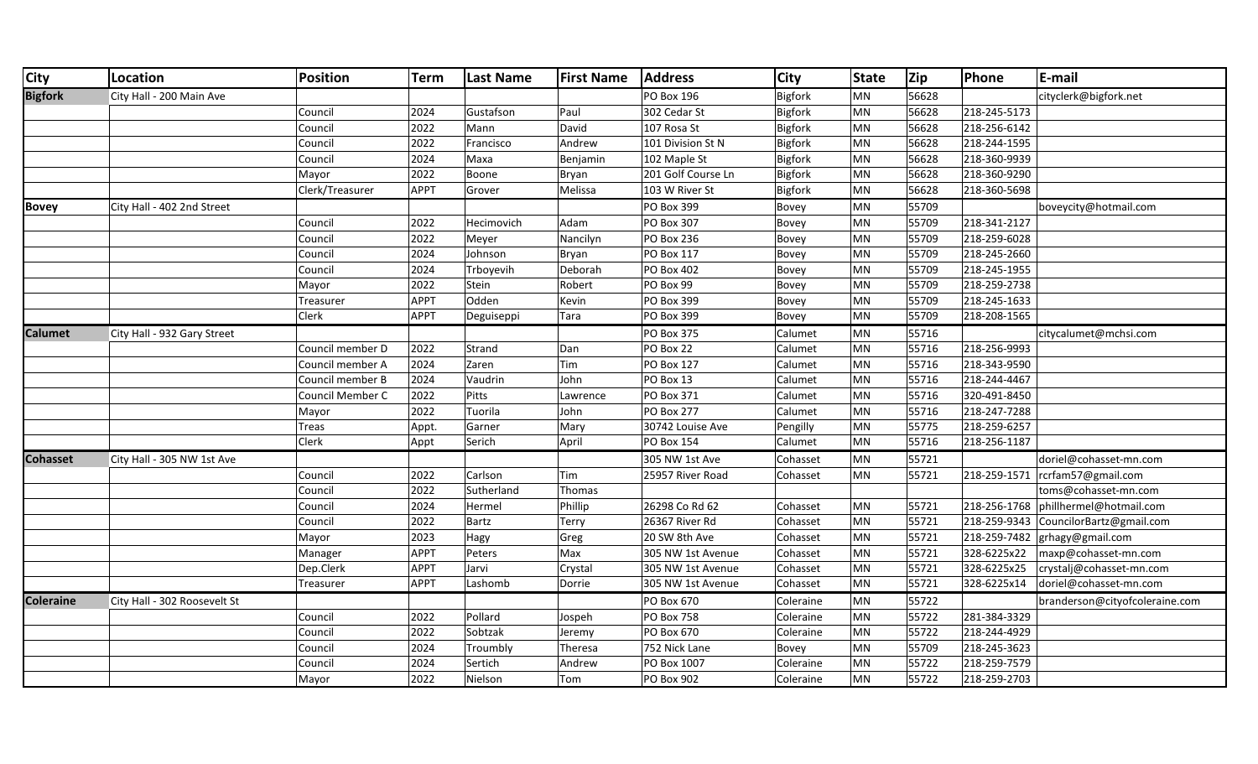| <b>City</b>      | Location                     | <b>Position</b>  | <b>Term</b> | <b>Last Name</b> | <b>First Name</b> | <b>Address</b>     | <b>City</b>    | <b>State</b> | Zip   | Phone        | E-mail                         |
|------------------|------------------------------|------------------|-------------|------------------|-------------------|--------------------|----------------|--------------|-------|--------------|--------------------------------|
| <b>Bigfork</b>   | City Hall - 200 Main Ave     |                  |             |                  |                   | <b>PO Box 196</b>  | <b>Bigfork</b> | <b>MN</b>    | 56628 |              | cityclerk@bigfork.net          |
|                  |                              | Council          | 2024        | Gustafson        | Paul              | 302 Cedar St       | <b>Bigfork</b> | MN           | 56628 | 218-245-5173 |                                |
|                  |                              | Council          | 2022        | Mann             | David             | 107 Rosa St        | <b>Bigfork</b> | MN           | 56628 | 218-256-6142 |                                |
|                  |                              | Council          | 2022        | Francisco        | Andrew            | 101 Division St N  | Bigfork        | <b>MN</b>    | 56628 | 218-244-1595 |                                |
|                  |                              | Council          | 2024        | Maxa             | Benjamin          | 102 Maple St       | Bigfork        | <b>MN</b>    | 56628 | 218-360-9939 |                                |
|                  |                              | Mayor            | 2022        | Boone            | Bryan             | 201 Golf Course Ln | Bigfork        | <b>MN</b>    | 56628 | 218-360-9290 |                                |
|                  |                              | Clerk/Treasurer  | <b>APPT</b> | Grover           | Melissa           | 103 W River St     | Bigfork        | <b>MN</b>    | 56628 | 218-360-5698 |                                |
| <b>Bovey</b>     | City Hall - 402 2nd Street   |                  |             |                  |                   | PO Box 399         | Bovey          | MN           | 55709 |              | boveycity@hotmail.com          |
|                  |                              | Council          | 2022        | Hecimovich       | Adam              | <b>PO Box 307</b>  | Bovey          | <b>MN</b>    | 55709 | 218-341-2127 |                                |
|                  |                              | Council          | 2022        | Meyer            | Nancilyn          | <b>PO Box 236</b>  | Bovey          | MN           | 55709 | 218-259-6028 |                                |
|                  |                              | Council          | 2024        | Johnson          | Bryan             | PO Box 117         | Bovey          | <b>MN</b>    | 55709 | 218-245-2660 |                                |
|                  |                              | Council          | 2024        | Trboyevih        | Deborah           | <b>PO Box 402</b>  | Bovey          | MN           | 55709 | 218-245-1955 |                                |
|                  |                              | Mayor            | 2022        | Stein            | Robert            | PO Box 99          | Bovey          | MN           | 55709 | 218-259-2738 |                                |
|                  |                              | Treasurer        | <b>APPT</b> | Odden            | Kevin             | PO Box 399         | Bovey          | MN           | 55709 | 218-245-1633 |                                |
|                  |                              | Clerk            | APPT        | Deguiseppi       | Tara              | PO Box 399         | Bovey          | MN           | 55709 | 218-208-1565 |                                |
| <b>Calumet</b>   | City Hall - 932 Gary Street  |                  |             |                  |                   | <b>PO Box 375</b>  | Calumet        | MN           | 55716 |              | citycalumet@mchsi.com          |
|                  |                              | Council member D | 2022        | Strand           | Dan               | PO Box 22          | Calumet        | MN           | 55716 | 218-256-9993 |                                |
|                  |                              | Council member A | 2024        | Zaren            | Tim               | <b>PO Box 127</b>  | Calumet        | <b>MN</b>    | 55716 | 218-343-9590 |                                |
|                  |                              | Council member B | 2024        | Vaudrin          | John              | PO Box 13          | Calumet        | <b>MN</b>    | 55716 | 218-244-4467 |                                |
|                  |                              | Council Member C | 2022        | Pitts            | Lawrence          | <b>PO Box 371</b>  | Calumet        | <b>MN</b>    | 55716 | 320-491-8450 |                                |
|                  |                              | Mayor            | 2022        | Tuorila          | John              | <b>PO Box 277</b>  | Calumet        | <b>MN</b>    | 55716 | 218-247-7288 |                                |
|                  |                              | Treas            | Appt.       | Garner           | Mary              | 30742 Louise Ave   | Pengilly       | MN           | 55775 | 218-259-6257 |                                |
|                  |                              | Clerk            | Appt        | Serich           | April             | <b>PO Box 154</b>  | Calumet        | MN           | 55716 | 218-256-1187 |                                |
| <b>Cohasset</b>  | City Hall - 305 NW 1st Ave   |                  |             |                  |                   | 305 NW 1st Ave     | Cohasset       | <b>MN</b>    | 55721 |              | doriel@cohasset-mn.com         |
|                  |                              | Council          | 2022        | Carlson          | Tim               | 25957 River Road   | Cohasset       | <b>MN</b>    | 55721 | 218-259-1571 | rcrfam57@gmail.com             |
|                  |                              | Council          | 2022        | Sutherland       | Thomas            |                    |                |              |       |              | toms@cohasset-mn.com           |
|                  |                              | Council          | 2024        | Hermel           | Phillip           | 26298 Co Rd 62     | Cohasset       | MN           | 55721 | 218-256-1768 | phillhermel@hotmail.com        |
|                  |                              | Council          | 2022        | <b>Bartz</b>     | Terry             | 26367 River Rd     | Cohasset       | MN           | 55721 | 218-259-9343 | CouncilorBartz@gmail.com       |
|                  |                              | Mayor            | 2023        | Hagy             | Greg              | 20 SW 8th Ave      | Cohasset       | <b>MN</b>    | 55721 | 218-259-7482 | grhagy@gmail.com               |
|                  |                              | Manager          | <b>APPT</b> | Peters           | Max               | 305 NW 1st Avenue  | Cohasset       | <b>MN</b>    | 55721 | 328-6225x22  | maxp@cohasset-mn.com           |
|                  |                              | Dep.Clerk        | <b>APPT</b> | Jarvi            | Crystal           | 305 NW 1st Avenue  | Cohasset       | MN           | 55721 | 328-6225x25  | crystalj@cohasset-mn.com       |
|                  |                              | Treasurer        | <b>APPT</b> | Lashomb          | Dorrie            | 305 NW 1st Avenue  | Cohasset       | <b>MN</b>    | 55721 | 328-6225x14  | doriel@cohasset-mn.com         |
| <b>Coleraine</b> | City Hall - 302 Roosevelt St |                  |             |                  |                   | PO Box 670         | Coleraine      | MN           | 55722 |              | branderson@cityofcoleraine.com |
|                  |                              | Council          | 2022        | Pollard          | Jospeh            | <b>PO Box 758</b>  | Coleraine      | <b>MN</b>    | 55722 | 281-384-3329 |                                |
|                  |                              | Council          | 2022        | Sobtzak          | Jeremy            | PO Box 670         | Coleraine      | <b>MN</b>    | 55722 | 218-244-4929 |                                |
|                  |                              | Council          | 2024        | Troumbly         | Theresa           | 752 Nick Lane      | Bovey          | MN           | 55709 | 218-245-3623 |                                |
|                  |                              | Council          | 2024        | Sertich          | Andrew            | PO Box 1007        | Coleraine      | MN           | 55722 | 218-259-7579 |                                |
|                  |                              | Mayor            | 2022        | Nielson          | Tom               | PO Box 902         | Coleraine      | MN           | 55722 | 218-259-2703 |                                |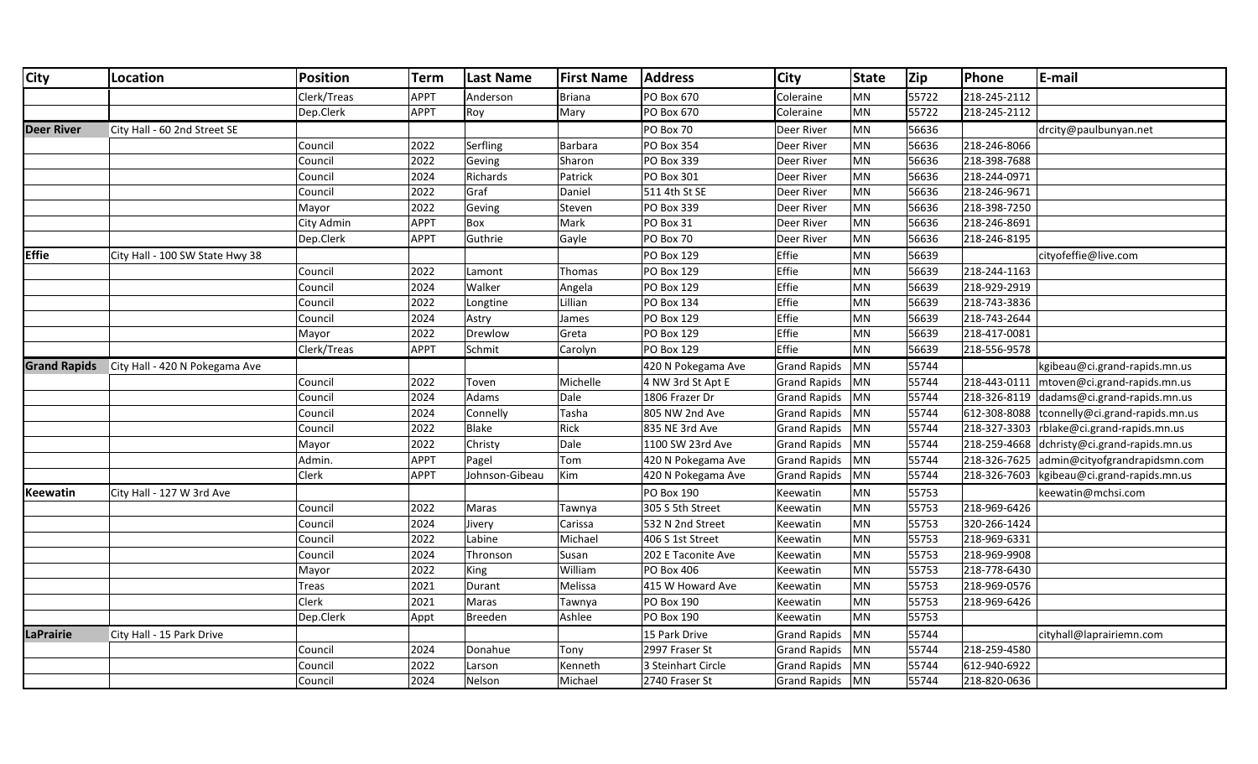| <b>City</b>       | Location                                    | <b>Position</b> | <b>Term</b> | <b>Last Name</b> | <b>First Name</b> | <b>Address</b>     | <b>City</b>         | State     | Zip   | Phone        | E-mail                                       |
|-------------------|---------------------------------------------|-----------------|-------------|------------------|-------------------|--------------------|---------------------|-----------|-------|--------------|----------------------------------------------|
|                   |                                             | Clerk/Treas     | <b>APPT</b> | Anderson         | <b>Briana</b>     | PO Box 670         | Coleraine           | MN        | 55722 | 218-245-2112 |                                              |
|                   |                                             | Dep.Clerk       | <b>APPT</b> | Roy              | Mary              | PO Box 670         | Coleraine           | MN        | 55722 | 218-245-2112 |                                              |
| <b>Deer River</b> | City Hall - 60 2nd Street SE                |                 |             |                  |                   | PO Box 70          | Deer River          | MN        | 56636 |              | drcity@paulbunyan.net                        |
|                   |                                             | Council         | 2022        | Serfling         | Barbara           | <b>PO Box 354</b>  | Deer River          | MN        | 56636 | 218-246-8066 |                                              |
|                   |                                             | Council         | 2022        | Geving           | Sharon            | PO Box 339         | Deer River          | MN        | 56636 | 218-398-7688 |                                              |
|                   |                                             | Council         | 2024        | Richards         | Patrick           | PO Box 301         | Deer River          | MN        | 56636 | 218-244-0971 |                                              |
|                   |                                             | Council         | 2022        | Graf             | Daniel            | 511 4th St SE      | Deer River          | MN        | 56636 | 218-246-9671 |                                              |
|                   |                                             | Mayor           | 2022        | Geving           | Steven            | PO Box 339         | Deer River          | <b>MN</b> | 56636 | 218-398-7250 |                                              |
|                   |                                             | City Admin      | <b>APPT</b> | Box              | Mark              | PO Box 31          | Deer River          | MN        | 56636 | 218-246-8691 |                                              |
|                   |                                             | Dep.Clerk       | <b>APPT</b> | Guthrie          | Gayle             | PO Box 70          | Deer River          | MN        | 56636 | 218-246-8195 |                                              |
| <b>Effie</b>      | City Hall - 100 SW State Hwy 38             |                 |             |                  |                   | PO Box 129         | Effie               | MN        | 56639 |              | cityofeffie@live.com                         |
|                   |                                             | Council         | 2022        | Lamont           | Thomas            | PO Box 129         | Effie               | MN        | 56639 | 218-244-1163 |                                              |
|                   |                                             | Council         | 2024        | Walker           | Angela            | PO Box 129         | Effie               | MN        | 56639 | 218-929-2919 |                                              |
|                   |                                             | Council         | 2022        | Longtine         | Lillian           | PO Box 134         | Effie               | MN        | 56639 | 218-743-3836 |                                              |
|                   |                                             | Council         | 2024        | Astry            | James             | PO Box 129         | Effie               | MN        | 56639 | 218-743-2644 |                                              |
|                   |                                             | Mayor           | 2022        | Drewlow          | Greta             | PO Box 129         | Effie               | <b>MN</b> | 56639 | 218-417-0081 |                                              |
|                   |                                             | Clerk/Treas     | <b>APPT</b> | Schmit           | Carolyn           | PO Box 129         | Effie               | MN        | 56639 | 218-556-9578 |                                              |
|                   | Grand Rapids City Hall - 420 N Pokegama Ave |                 |             |                  |                   | 420 N Pokegama Ave | <b>Grand Rapids</b> | MN        | 55744 |              | kgibeau@ci.grand-rapids.mn.us                |
|                   |                                             | Council         | 2022        | Toven            | Michelle          | 4 NW 3rd St Apt E  | <b>Grand Rapids</b> | MN        | 55744 |              | 218-443-0111   mtoven@ci.grand-rapids.mn.us  |
|                   |                                             | Council         | 2024        | Adams            | Dale              | 1806 Frazer Dr     | <b>Grand Rapids</b> | MN        | 55744 |              | 218-326-8119 dadams@ci.grand-rapids.mn.us    |
|                   |                                             | Council         | 2024        | Connelly         | Tasha             | 805 NW 2nd Ave     | <b>Grand Rapids</b> | MN        | 55744 |              | 612-308-8088 tconnelly@ci.grand-rapids.mn.us |
|                   |                                             | Council         | 2022        | Blake            | Rick              | 835 NE 3rd Ave     | <b>Grand Rapids</b> | MN        | 55744 |              | 218-327-3303  rblake@ci.grand-rapids.mn.us   |
|                   |                                             | Mayor           | 2022        | Christy          | Dale              | 1100 SW 23rd Ave   | <b>Grand Rapids</b> | MN        | 55744 |              | 218-259-4668 dchristy@ci.grand-rapids.mn.us  |
|                   |                                             | Admin.          | <b>APPT</b> | Pagel            | Tom               | 420 N Pokegama Ave | <b>Grand Rapids</b> | MN        | 55744 |              | 218-326-7625 admin@cityofgrandrapidsmn.com   |
|                   |                                             | <b>Clerk</b>    | <b>APPT</b> | Johnson-Gibeau   | Kim               | 420 N Pokegama Ave | <b>Grand Rapids</b> | MN        | 55744 |              | 218-326-7603 kgibeau@ci.grand-rapids.mn.us   |
| <b>Keewatin</b>   | City Hall - 127 W 3rd Ave                   |                 |             |                  |                   | <b>PO Box 190</b>  | Keewatin            | MN        | 55753 |              | keewatin@mchsi.com                           |
|                   |                                             | Council         | 2022        | Maras            | Tawnya            | 305 S 5th Street   | Keewatin            | MN        | 55753 | 218-969-6426 |                                              |
|                   |                                             | Council         | 2024        | Jivery           | Carissa           | 532 N 2nd Street   | Keewatin            | MN        | 55753 | 320-266-1424 |                                              |
|                   |                                             | Council         | 2022        | Labine           | Michael           | 406 S 1st Street   | Keewatin            | MN        | 55753 | 218-969-6331 |                                              |
|                   |                                             | Council         | 2024        | Thronson         | Susan             | 202 E Taconite Ave | Keewatin            | MN        | 55753 | 218-969-9908 |                                              |
|                   |                                             | Mayor           | 2022        | King             | William           | PO Box 406         | Keewatin            | MN        | 55753 | 218-778-6430 |                                              |
|                   |                                             | Treas           | 2021        | Durant           | Melissa           | 415 W Howard Ave   | Keewatin            | MN        | 55753 | 218-969-0576 |                                              |
|                   |                                             | <b>Clerk</b>    | 2021        | Maras            | Tawnya            | PO Box 190         | Keewatin            | MN        | 55753 | 218-969-6426 |                                              |
|                   |                                             | Dep.Clerk       | Appt        | <b>Breeden</b>   | Ashlee            | PO Box 190         | Keewatin            | MN        | 55753 |              |                                              |
| LaPrairie         | City Hall - 15 Park Drive                   |                 |             |                  |                   | 15 Park Drive      | <b>Grand Rapids</b> | MN        | 55744 |              | cityhall@laprairiemn.com                     |
|                   |                                             | Council         | 2024        | Donahue          | Tony              | 2997 Fraser St     | <b>Grand Rapids</b> | MN        | 55744 | 218-259-4580 |                                              |
|                   |                                             | Council         | 2022        | Larson           | Kenneth           | 3 Steinhart Circle | <b>Grand Rapids</b> | MN        | 55744 | 612-940-6922 |                                              |
|                   |                                             | Council         | 2024        | Nelson           | Michael           | 2740 Fraser St     | <b>Grand Rapids</b> | <b>MN</b> | 55744 | 218-820-0636 |                                              |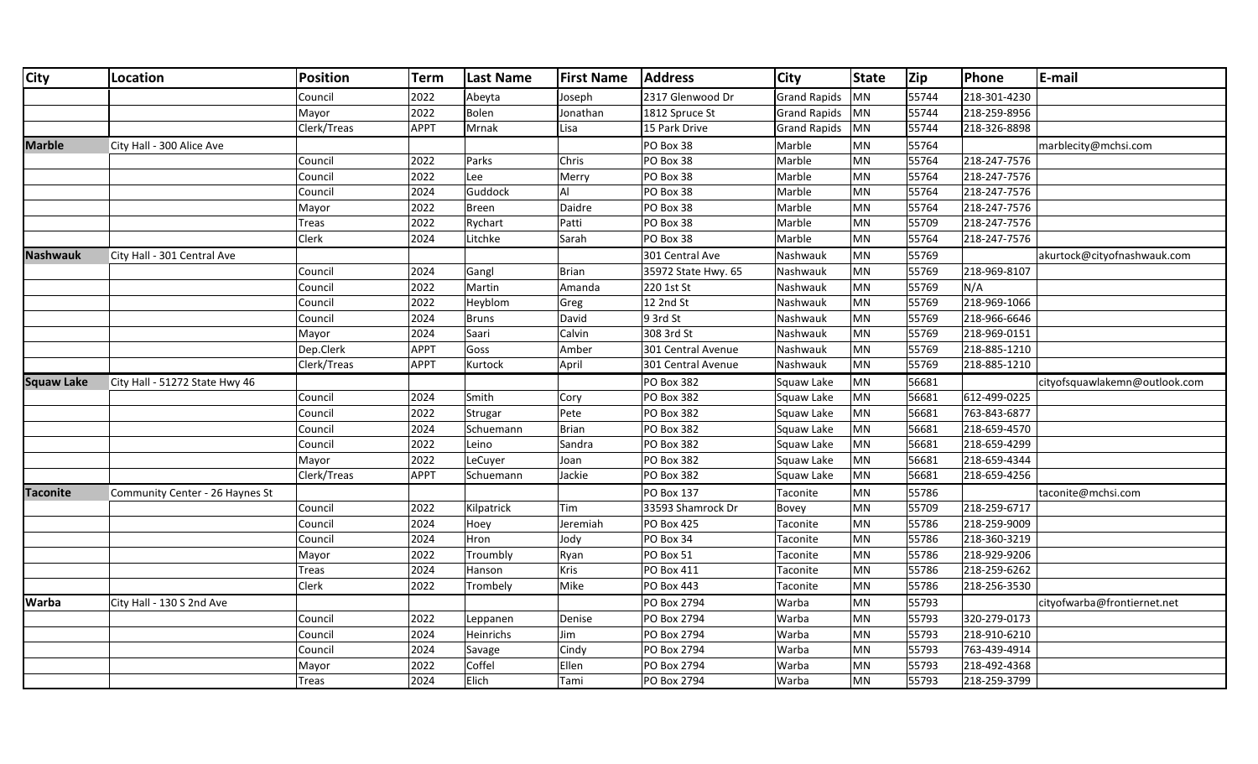| <b>City</b>       | Location                        | <b>Position</b> | <b>Term</b> | <b>Last Name</b> | <b>First Name</b> | <b>Address</b>      | <b>City</b>         | <b>State</b> | Zip   | Phone        | E-mail                        |
|-------------------|---------------------------------|-----------------|-------------|------------------|-------------------|---------------------|---------------------|--------------|-------|--------------|-------------------------------|
|                   |                                 | Council         | 2022        | Abeyta           | Joseph            | 2317 Glenwood Dr    | <b>Grand Rapids</b> | <b>MN</b>    | 55744 | 218-301-4230 |                               |
|                   |                                 | Mayor           | 2022        | Bolen            | Jonathan          | 1812 Spruce St      | Grand Rapids        | MN           | 55744 | 218-259-8956 |                               |
|                   |                                 | Clerk/Treas     | APPT        | Mrnak            | Lisa              | 15 Park Drive       | Grand Rapids        | MN           | 55744 | 218-326-8898 |                               |
| <b>Marble</b>     | City Hall - 300 Alice Ave       |                 |             |                  |                   | PO Box 38           | Marble              | <b>MN</b>    | 55764 |              | marblecity@mchsi.com          |
|                   |                                 | Council         | 2022        | Parks            | Chris             | PO Box 38           | Marble              | MN           | 55764 | 218-247-7576 |                               |
|                   |                                 | Council         | 2022        | Lee              | Merry             | PO Box 38           | Marble              | MN           | 55764 | 218-247-7576 |                               |
|                   |                                 | Council         | 2024        | Guddock          | AI                | PO Box 38           | Marble              | <b>MN</b>    | 55764 | 218-247-7576 |                               |
|                   |                                 | Mayor           | 2022        | Breen            | Daidre            | PO Box 38           | Marble              | MN           | 55764 | 218-247-7576 |                               |
|                   |                                 | Treas           | 2022        | Rychart          | Patti             | PO Box 38           | Marble              | MN           | 55709 | 218-247-7576 |                               |
|                   |                                 | <b>Clerk</b>    | 2024        | Litchke          | Sarah             | PO Box 38           | Marble              | MN           | 55764 | 218-247-7576 |                               |
| <b>Nashwauk</b>   | City Hall - 301 Central Ave     |                 |             |                  |                   | 301 Central Ave     | Nashwauk            | MN           | 55769 |              | akurtock@cityofnashwauk.com   |
|                   |                                 | Council         | 2024        | Gangl            | Brian             | 35972 State Hwy. 65 | Nashwauk            | <b>MN</b>    | 55769 | 218-969-8107 |                               |
|                   |                                 | Council         | 2022        | Martin           | Amanda            | 220 1st St          | Nashwauk            | <b>MN</b>    | 55769 | N/A          |                               |
|                   |                                 | Council         | 2022        | Heyblom          | Greg              | 12 2nd St           | Nashwauk            | MN           | 55769 | 218-969-1066 |                               |
|                   |                                 | Council         | 2024        | <b>Bruns</b>     | David             | 9 3rd St            | Nashwauk            | <b>MN</b>    | 55769 | 218-966-6646 |                               |
|                   |                                 | Mayor           | 2024        | Saari            | Calvin            | 308 3rd St          | Nashwauk            | <b>MN</b>    | 55769 | 218-969-0151 |                               |
|                   |                                 | Dep.Clerk       | APPT        | Goss             | Amber             | 301 Central Avenue  | Nashwauk            | MN           | 55769 | 218-885-1210 |                               |
|                   |                                 | Clerk/Treas     | APPT        | Kurtock          | April             | 301 Central Avenue  | Nashwauk            | <b>MN</b>    | 55769 | 218-885-1210 |                               |
| <b>Squaw Lake</b> | City Hall - 51272 State Hwy 46  |                 |             |                  |                   | PO Box 382          | Squaw Lake          | MN           | 56681 |              | cityofsquawlakemn@outlook.com |
|                   |                                 | Council         | 2024        | Smith            | Cory              | <b>PO Box 382</b>   | Squaw Lake          | MN           | 56681 | 612-499-0225 |                               |
|                   |                                 | Council         | 2022        | Strugar          | Pete              | <b>PO Box 382</b>   | Squaw Lake          | <b>MN</b>    | 56681 | 763-843-6877 |                               |
|                   |                                 | Council         | 2024        | Schuemann        | Brian             | <b>PO Box 382</b>   | Squaw Lake          | MN           | 56681 | 218-659-4570 |                               |
|                   |                                 | Council         | 2022        | Leino            | Sandra            | <b>PO Box 382</b>   | Squaw Lake          | MN           | 56681 | 218-659-4299 |                               |
|                   |                                 | Mayor           | 2022        | LeCuyer          | Joan              | <b>PO Box 382</b>   | Squaw Lake          | <b>MN</b>    | 56681 | 218-659-4344 |                               |
|                   |                                 | Clerk/Treas     | APPT        | Schuemann        | Jackie            | PO Box 382          | Squaw Lake          | MN           | 56681 | 218-659-4256 |                               |
| <b>Taconite</b>   | Community Center - 26 Haynes St |                 |             |                  |                   | PO Box 137          | Taconite            | MN           | 55786 |              | taconite@mchsi.com            |
|                   |                                 | Council         | 2022        | Kilpatrick       | <b>Tim</b>        | 33593 Shamrock Dr   | Bovey               | MN           | 55709 | 218-259-6717 |                               |
|                   |                                 | Council         | 2024        | Hoey             | Jeremiah          | <b>PO Box 425</b>   | Taconite            | MN           | 55786 | 218-259-9009 |                               |
|                   |                                 | Council         | 2024        | Hron             | Jody              | PO Box 34           | Taconite            | MN           | 55786 | 218-360-3219 |                               |
|                   |                                 | Mayor           | 2022        | Troumbly         | Ryan              | PO Box 51           | Taconite            | MN           | 55786 | 218-929-9206 |                               |
|                   |                                 | <b>Treas</b>    | 2024        | Hanson           | Kris              | <b>PO Box 411</b>   | Taconite            | <b>MN</b>    | 55786 | 218-259-6262 |                               |
|                   |                                 | <b>Clerk</b>    | 2022        | Trombely         | Mike              | <b>PO Box 443</b>   | Taconite            | MN           | 55786 | 218-256-3530 |                               |
| <b>Warba</b>      | City Hall - 130 S 2nd Ave       |                 |             |                  |                   | PO Box 2794         | Warba               | MN           | 55793 |              | cityofwarba@frontiernet.net   |
|                   |                                 | Council         | 2022        | Leppanen         | Denise            | PO Box 2794         | Warba               | MN           | 55793 | 320-279-0173 |                               |
|                   |                                 | Council         | 2024        | Heinrichs        | Jim               | PO Box 2794         | Warba               | MN           | 55793 | 218-910-6210 |                               |
|                   |                                 | Council         | 2024        | Savage           | Cindy             | PO Box 2794         | Warba               | MN           | 55793 | 763-439-4914 |                               |
|                   |                                 | Mayor           | 2022        | Coffel           | Ellen             | PO Box 2794         | Warba               | MN           | 55793 | 218-492-4368 |                               |
|                   |                                 | Treas           | 2024        | Elich            | Tami              | PO Box 2794         | Warba               | <b>MN</b>    | 55793 | 218-259-3799 |                               |